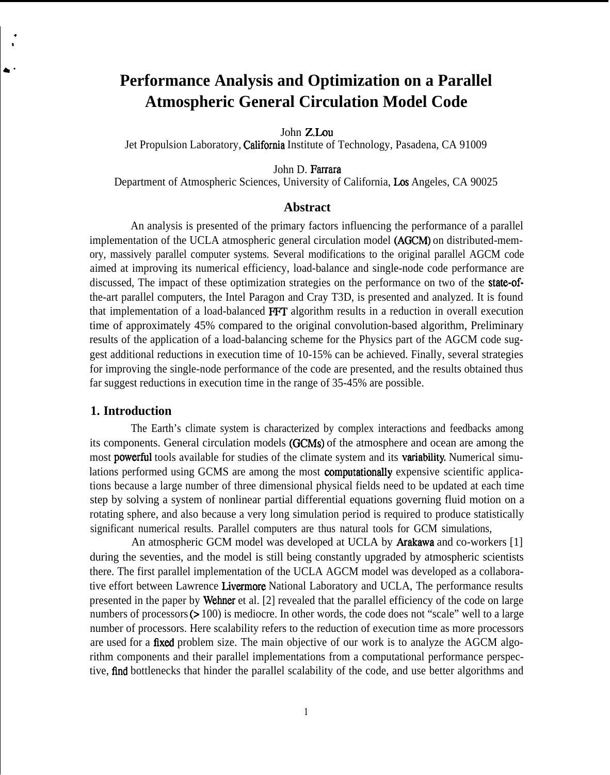# **Performance Analysis and Optimization on a Parallel Atmospheric General Circulation Model Code**

John Z.Lou

Jet Propulsion Laboratory, California Institute of Technology, Pasadena, CA 91009

John D. Farrara

Department of Atmospheric Sciences, University of California, Los Angeles, CA 90025

## **Abstract**

An analysis is presented of the primary factors influencing the performance of a parallel implementation of the UCLA atmospheric general circulation model (AGCM) on distributed-memory, massively parallel computer systems. Several modifications to the original parallel AGCM code aimed at improving its numerical efficiency, load-balance and single-node code performance are discussed, The impact of these optimization strategies on the performance on two of the state-ofthe-art parallel computers, the Intel Paragon and Cray T3D, is presented and analyzed. It is found that implementation of a load-balanced ITT algorithm results in a reduction in overall execution time of approximately 45% compared to the original convolution-based algorithm, Preliminary results of the application of a load-balancing scheme for the Physics part of the AGCM code suggest additional reductions in execution time of 10-15% can be achieved. Finally, several strategies for improving the single-node performance of the code are presented, and the results obtained thus far suggest reductions in execution time in the range of 35-45% are possible.

#### **1. Introduction**

. 8

> The Earth's climate system is characterized by complex interactions and feedbacks among its components. General circulation models (GCMS) of the atmosphere and ocean are among the most powerful tools available for studies of the climate system and its variability. Numerical simulations performed using GCMS are among the most computationally expensive scientific applications because a large number of three dimensional physical fields need to be updated at each time step by solving a system of nonlinear partial differential equations governing fluid motion on a rotating sphere, and also because a very long simulation period is required to produce statistically significant numerical results. Parallel computers are thus natural tools for GCM simulations,

> An atmospheric GCM model was developed at UCLA by **Arakawa** and co-workers [1] during the seventies, and the model is still being constantly upgraded by atmospheric scientists there. The first parallel implementation of the UCLA AGCM model was developed as a collaborative effort between Lawrence Livermore National Laboratory and UCLA, The performance results presented in the paper by Wehner et al. [2] revealed that the parallel efficiency of the code on large numbers of processors (> 100) is mediocre. In other words, the code does not "scale" well to a large number of processors. Here scalability refers to the reduction of execution time as more processors are used for a fixed problem size. The main objective of our work is to analyze the AGCM algorithm components and their parallel implementations from a computational performance perspective, find bottlenecks that hinder the parallel scalability of the code, and use better algorithms and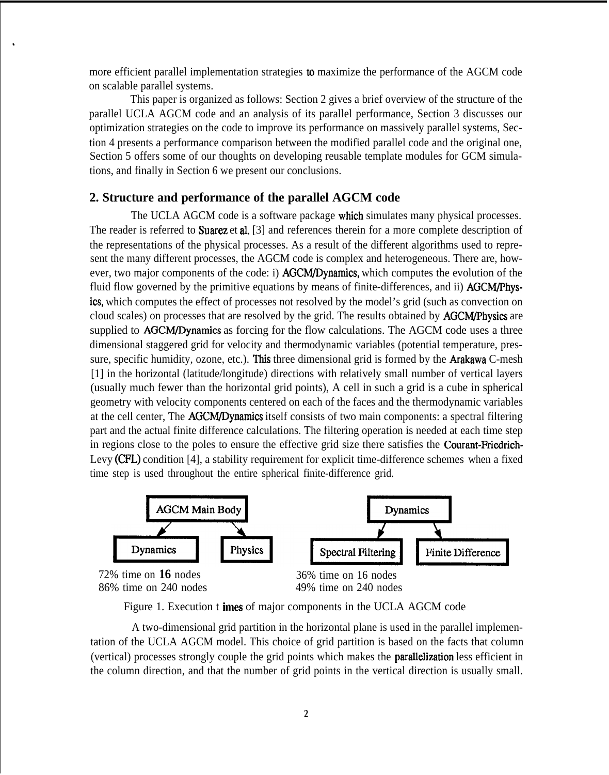more efficient parallel implementation strategies to maximize the performance of the AGCM code on scalable parallel systems.

This paper is organized as follows: Section 2 gives a brief overview of the structure of the parallel UCLA AGCM code and an analysis of its parallel performance, Section 3 discusses our optimization strategies on the code to improve its performance on massively parallel systems, Section 4 presents a performance comparison between the modified parallel code and the original one, Section 5 offers some of our thoughts on developing reusable template modules for GCM simulations, and finally in Section 6 we present our conclusions.

## **2. Structure and performance of the parallel AGCM code**

The UCLA AGCM code is a software package which simulates many physical processes. The reader is referred to **Suarez** et al. [3] and references therein for a more complete description of the representations of the physical processes. As a result of the different algorithms used to represent the many different processes, the AGCM code is complex and heterogeneous. There are, however, two major components of the code: i) **AGCM/Dynamics**, which computes the evolution of the fluid flow governed by the primitive equations by means of finite-differences, and ii) AGCM/Physics, which computes the effect of processes not resolved by the model's grid (such as convection on cloud scales) on processes that are resolved by the grid. The results obtained by AGCM/Physics are supplied to **AGCM/Dynamics** as forcing for the flow calculations. The AGCM code uses a three dimensional staggered grid for velocity and thermodynamic variables (potential temperature, pressure, specific humidity, ozone, etc.). This three dimensional grid is formed by the **Arakawa** C-mesh [1] in the horizontal (latitude/longitude) directions with relatively small number of vertical layers (usually much fewer than the horizontal grid points), A cell in such a grid is a cube in spherical geometry with velocity components centered on each of the faces and the thermodynamic variables at the cell center, The AGCM/Dynamics itself consists of two main components: a spectral filtering part and the actual finite difference calculations. The filtering operation is needed at each time step in regions close to the poles to ensure the effective grid size there satisfies the Courant-Friedrich-Levy (CFL) condition [4], a stability requirement for explicit time-difference schemes when a fixed time step is used throughout the entire spherical finite-difference grid. Nacement by the primitive equations by means of finite-differences, and<br>mputes the effect of processes not resolved by the model's grid (such on<br>processes that are resolved by the grid. The results obtained by A<br>GCM/Dynami



86% time on 240 nodes 49% time on 240 nodes

.

Figure 1. Execution t imes of major components in the UCLA AGCM code

A two-dimensional grid partition in the horizontal plane is used in the parallel implementation of the UCLA AGCM model. This choice of grid partition is based on the facts that column (vertical) processes strongly couple the grid points which makes the parallelization less efficient in the column direction, and that the number of grid points in the vertical direction is usually small.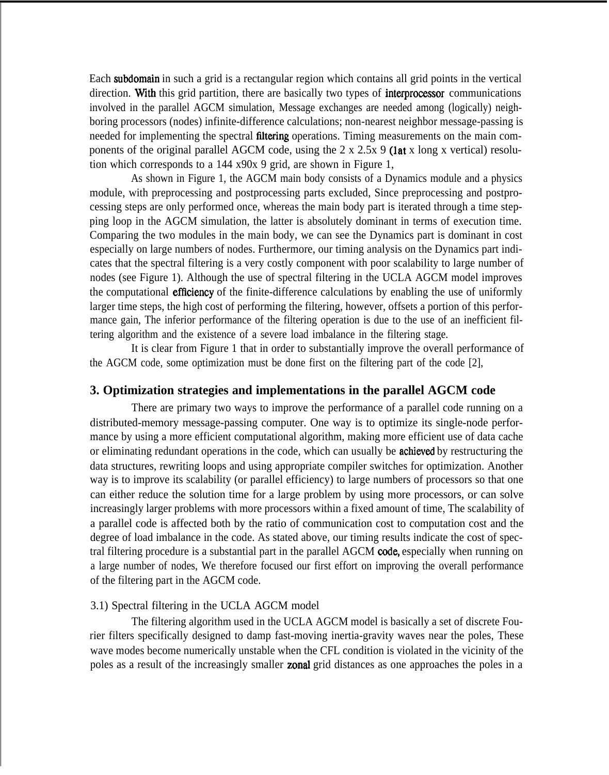Each subdomain in such a grid is a rectangular region which contains all grid points in the vertical direction. With this grid partition, there are basically two types of interprocessor communications involved in the parallel AGCM simulation, Message exchanges are needed among (logically) neighboring processors (nodes) infinite-difference calculations; non-nearest neighbor message-passing is needed for implementing the spectral **filtering** operations. Timing measurements on the main components of the original parallel AGCM code, using the  $2 \times 2.5 \times 9$  (lat x long x vertical) resolution which corresponds to a 144 x90x 9 grid, are shown in Figure 1,

As shown in Figure 1, the AGCM main body consists of a Dynamics module and a physics module, with preprocessing and postprocessing parts excluded, Since preprocessing and postprocessing steps are only performed once, whereas the main body part is iterated through a time stepping loop in the AGCM simulation, the latter is absolutely dominant in terms of execution time. Comparing the two modules in the main body, we can see the Dynamics part is dominant in cost especially on large numbers of nodes. Furthermore, our timing analysis on the Dynamics part indicates that the spectral filtering is a very costly component with poor scalability to large number of nodes (see Figure 1). Although the use of spectral filtering in the UCLA AGCM model improves the computational **efficiency** of the finite-difference calculations by enabling the use of uniformly larger time steps, the high cost of performing the filtering, however, offsets a portion of this performance gain, The inferior performance of the filtering operation is due to the use of an inefficient filtering algorithm and the existence of a severe load imbalance in the filtering stage.

It is clear from Figure 1 that in order to substantially improve the overall performance of the AGCM code, some optimization must be done first on the filtering part of the code [2],

#### **3. Optimization strategies and implementations in the parallel AGCM code**

There are primary two ways to improve the performance of a parallel code running on a distributed-memory message-passing computer. One way is to optimize its single-node performance by using a more efficient computational algorithm, making more efficient use of data cache or eliminating redundant operations in the code, which can usually be **achieved** by restructuring the data structures, rewriting loops and using appropriate compiler switches for optimization. Another way is to improve its scalability (or parallel efficiency) to large numbers of processors so that one can either reduce the solution time for a large problem by using more processors, or can solve increasingly larger problems with more processors within a fixed amount of time, The scalability of a parallel code is affected both by the ratio of communication cost to computation cost and the degree of load imbalance in the code. As stated above, our timing results indicate the cost of spectral filtering procedure is a substantial part in the parallel AGCM code, especially when running on a large number of nodes, We therefore focused our first effort on improving the overall performance of the filtering part in the AGCM code.

## 3.1) Spectral filtering in the UCLA AGCM model

The filtering algorithm used in the UCLA AGCM model is basically a set of discrete Fourier filters specifically designed to damp fast-moving inertia-gravity waves near the poles, These wave modes become numerically unstable when the CFL condition is violated in the vicinity of the poles as a result of the increasingly smaller zonal grid distances as one approaches the poles in a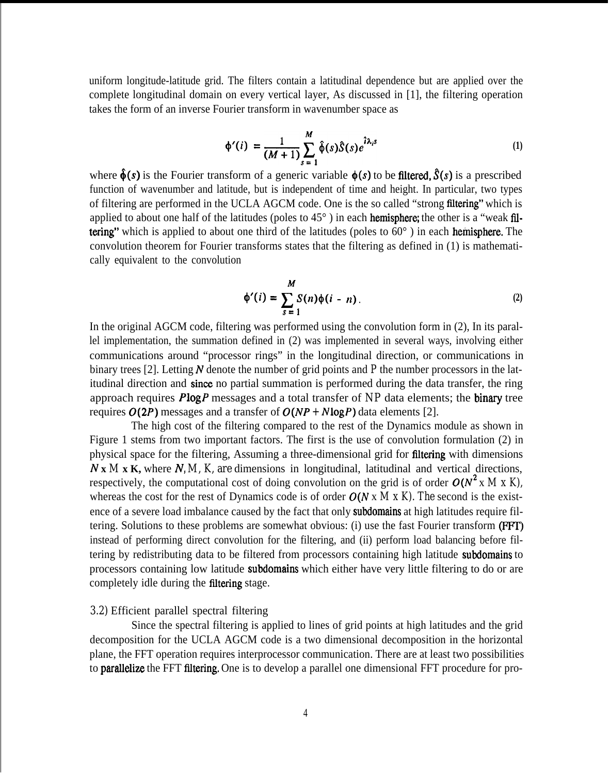uniform longitude-latitude grid. The filters contain a latitudinal dependence but are applied over the complete longitudinal domain on every vertical layer, As discussed in [1], the filtering operation takes the form of an inverse Fourier transform in wavenumber space as

$$
\phi'(i) = \frac{1}{(M+1)} \sum_{s=1}^{M} \hat{\phi}(s) \hat{S}(s) e^{i\lambda_i s} \tag{1}
$$

where  $\hat{\phi}(s)$  is the Fourier transform of a generic variable  $\phi(s)$  to be filtered,  $\hat{S}(s)$  is a prescribed function of wavenumber and latitude, but is independent of time and height. In particular, two types of filtering are performed in the UCLA AGCM code. One is the so called "strong tlltering" which is applied to about one half of the latitudes (poles to  $45^{\circ}$ ) in each **hemisphere**; the other is a "weak filtering" which is applied to about one third of the latitudes (poles to  $60^{\circ}$ ) in each hemisphere. The convolution theorem for Fourier transforms states that the filtering as defined in (1) is mathematically equivalent to the convolution

$$
\phi'(i) = \sum_{s=1}^{M} S(n)\phi(i - n). \tag{2}
$$

In the original AGCM code, filtering was performed using the convolution form in (2), In its parallel implementation, the summation defined in (2) was implemented in several ways, involving either communications around "processor rings" in the longitudinal direction, or communications in binary trees [2]. Letting N denote the number of grid points and P the number processors in the latitudinal direction and since no partial summation is performed during the data transfer, the ring approach requires **PlogP** messages and a total transfer of NP data elements; the **binary** tree requires  $O(2P)$  messages and a transfer of  $O(NP + N\log P)$  data elements [2].

The high cost of the filtering compared to the rest of the Dynamics module as shown in Figure 1 stems from two important factors. The first is the use of convolution formulation (2) in physical space for the filtering, Assuming a three-dimensional grid for filtering with dimensions N **x** *M* **x K,** where N, *M, K, are* dimensions in longitudinal, latitudinal and vertical directions, respectively, the computational cost of doing convolution on the grid is of order  $O(N^2 \times M \times K)$ , whereas the cost for the rest of Dynamics code is of order  $O(N \times M \times K)$ . The second is the existence of a severe load imbalance caused by the fact that only subdomains at high latitudes require filtering. Solutions to these problems are somewhat obvious: (i) use the fast Fourier transform (FFT) instead of performing direct convolution for the filtering, and (ii) perform load balancing before filtering by redistributing data to be filtered from processors containing high latitude subdomains to processors containing low latitude subdomains which either have very little filtering to do or are completely idle during the filtering stage.

#### *3.2)* Efficient parallel spectral filtering

Since the spectral filtering is applied to lines of grid points at high latitudes and the grid decomposition for the UCLA AGCM code is a two dimensional decomposition in the horizontal plane, the FFT operation requires interprocessor communication. There are at least two possibilities to **parallelize** the FFT filtering. One is to develop a parallel one dimensional FFT procedure for pro-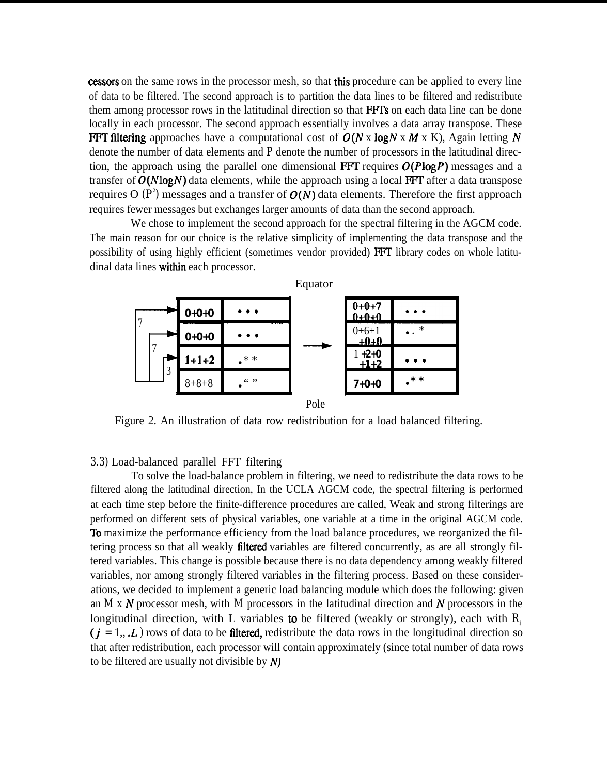cessors on the same rows in the processor mesh, so that this procedure can be applied to every line of data to be filtered. The second approach is to partition the data lines to be filtered and redistribute them among processor rows in the latitudinal direction so that **FFTs** on each data line can be done locally in each processor. The second approach essentially involves a data array transpose. These **IFT filtering** approaches have a computational cost of  $O(N \times log N \times M \times K)$ , Again letting N denote the number of data elements and *P* denote the number of processors in the latitudinal direction, the approach using the parallel one dimensional FFT requires  $O(P \log P)$  messages and a transfer of  $O(N \log N)$  data elements, while the approach using a local FFT after a data transpose requires O  $(P^{\flat})$  messages and a transfer of  $O(N)$  data elements. Therefore the first approach requires fewer messages but exchanges larger amounts of data than the second approach.

We chose to implement the second approach for the spectral filtering in the AGCM code. The main reason for our choice is the relative simplicity of implementing the data transpose and the possibility of using highly efficient (sometimes vendor provided) FFT library codes on whole latitudinal data lines within each processor.



Figure 2. An illustration of data row redistribution for a load balanced filtering.

## *3.3)* Load-balanced parallel FFT filtering

To solve the load-balance problem in filtering, we need to redistribute the data rows to be filtered along the latitudinal direction, In the UCLA AGCM code, the spectral filtering is performed at each time step before the finite-difference procedures are called, Weak and strong filterings are performed on different sets of physical variables, one variable at a time in the original AGCM code. 'Ib maximize the performance efficiency from the load balance procedures, we reorganized the filtering process so that all weakly **filtered** variables are filtered concurrently, as are all strongly filtered variables. This change is possible because there is no data dependency among weakly filtered variables, nor among strongly filtered variables in the filtering process. Based on these considerations, we decided to implement a generic load balancing module which does the following: given an *M x N* processor mesh, with *M* processors in the latitudinal direction and N processors in the longitudinal direction, with L variables **to** be filtered (weakly or strongly), each with  $R_i$  $(j = 1, L)$  rows of data to be filtered, redistribute the data rows in the longitudinal direction so that after redistribution, each processor will contain approximately (since total number of data rows to be filtered are usually not divisible by  $N$ )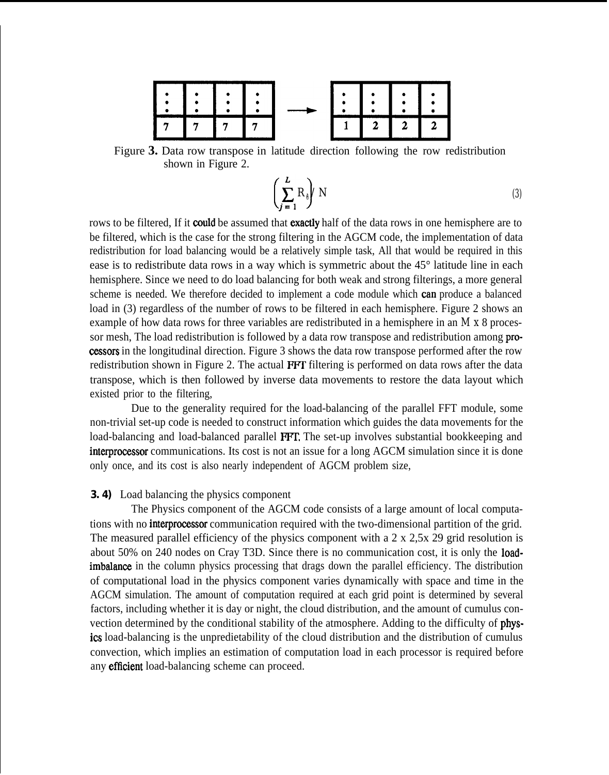

shown in Figure 2.

$$
\left(\sum_{j=1}^{L} R_{ij}\right) N \tag{3}
$$

rows to be filtered, If it could be assumed that exactly half of the data rows in one hemisphere are to be filtered, which is the case for the strong filtering in the AGCM code, the implementation of data redistribution for load balancing would be a relatively simple task, All that would be required in this ease is to redistribute data rows in a way which is symmetric about the 45° latitude line in each hemisphere. Since we need to do load balancing for both weak and strong filterings, a more general scheme is needed. We therefore decided to implement a code module which ean produce a balanced load in (3) regardless of the number of rows to be filtered in each hemisphere. Figure 2 shows an example of how data rows for three variables are redistributed in a hemisphere in an *M x* 8 processor mesh, The load redistribution is followed by a data row transpose and redistribution among processors in the longitudinal direction. Figure 3 shows the data row transpose performed after the row redistribution shown in Figure 2. The actual FFT filtering is performed on data rows after the data transpose, which is then followed by inverse data movements to restore the data layout which existed prior to the filtering,

Due to the generality required for the load-balancing of the parallel FFT module, some non-trivial set-up code is needed to construct information which guides the data movements for the load-balancing and load-balanced parallel FFT, The set-up involves substantial bookkeeping and interprocessor communications. Its cost is not an issue for a long AGCM simulation since it is done only once, and its cost is also nearly independent of AGCM problem size,

#### **3.4)** Load balancing the physics component

The Physics component of the AGCM code consists of a large amount of local computations with no interprocessor communication required with the two-dimensional partition of the grid. The measured parallel efficiency of the physics component with a 2 x 2,5x 29 grid resolution is about 50% on 240 nodes on Cray T3D. Since there is no communication cost, it is only the loadimbalance in the column physics processing that drags down the parallel efficiency. The distribution of computational load in the physics component varies dynamically with space and time in the AGCM simulation. The amount of computation required at each grid point is determined by several factors, including whether it is day or night, the cloud distribution, and the amount of cumulus convection determined by the conditional stability of the atmosphere. Adding to the difficulty of physics load-balancing is the unpredietability of the cloud distribution and the distribution of cumulus convection, which implies an estimation of computation load in each processor is required before any **efficient** load-balancing scheme can proceed.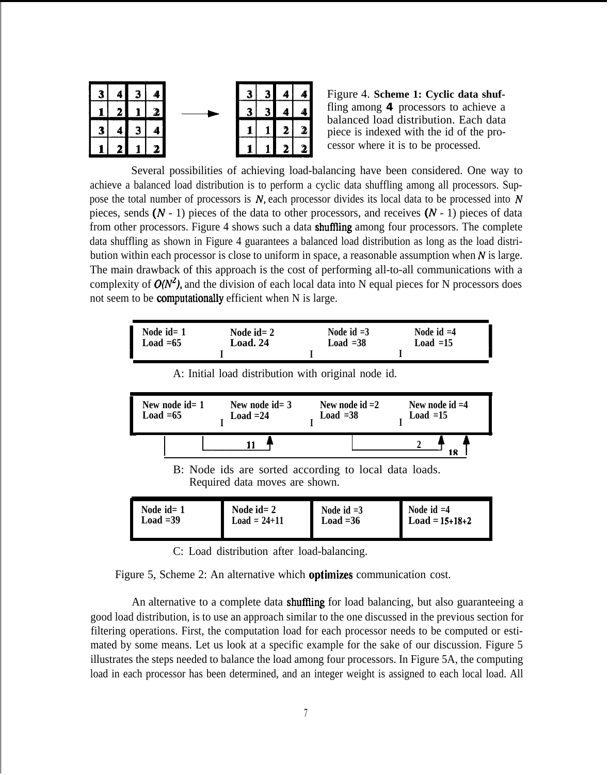

Figure 4. **Scheme 1: Cyclic data shuf**fling among **4** processors to achieve a balanced load distribution. Each data piece is indexed with the id of the processor where it is to be processed.

Several possibilities of achieving load-balancing have been considered. One way to achieve a balanced load distribution is to perform a cyclic data shuffling among all processors. Suppose the total number of processors is  $N$ , each processor divides its local data to be processed into  $N$ pieces, sends  $(N - 1)$  pieces of the data to other processors, and receives  $(N - 1)$  pieces of data from other processors. Figure 4 shows such a data shuffling among four processors. The complete data shuffling as shown in Figure 4 guarantees a balanced load distribution as long as the load distribution within each processor is close to uniform in space, a reasonable assumption when N is large. The main drawback of this approach is the cost of performing all-to-all communications with a complexity of  $O(N^2)$ , and the division of each local data into N equal pieces for N processors does not seem to be computationally efficient when N is large.

| Node $id=1$ | Node $id=2$     | Node id $=3$ | Node $id = 4$ |
|-------------|-----------------|--------------|---------------|
| Load $=65$  | <b>Load. 24</b> | Load $=38$   | Load $=15$    |
|             |                 |              |               |

A: Initial load distribution with original node id.



B: Node ids are sorted according to local data loads. Required data moves are shown.

| Node $id=1$ | Node $id=2$      | Node id $=3$ | Node $id = 4$    |
|-------------|------------------|--------------|------------------|
| Load =39    | $Load = 24 + 11$ | Load $=36$   | $Load = 15+18+2$ |

C: Load distribution after load-balancing.

Figure 5, Scheme 2: An alternative which **optimizes** communication cost.

An alternative to a complete data **shuffling** for load balancing, but also guaranteeing a good load distribution, is to use an approach similar to the one discussed in the previous section for filtering operations. First, the computation load for each processor needs to be computed or estimated by some means. Let us look at a specific example for the sake of our discussion. Figure 5 illustrates the steps needed to balance the load among four processors. In Figure 5A, the computing load in each processor has been determined, and an integer weight is assigned to each local load. All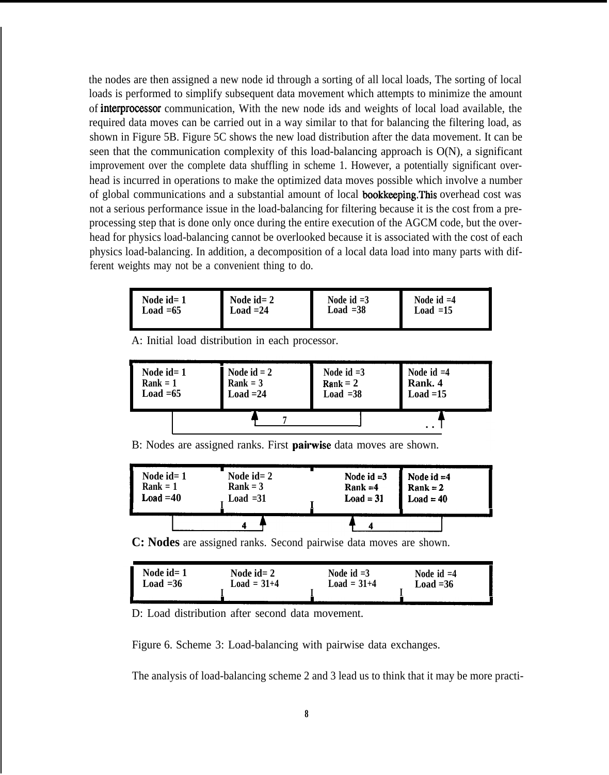the nodes are then assigned a new node id through a sorting of all local loads, The sorting of local loads is performed to simplify subsequent data movement which attempts to minimize the amount of interprocessor communication, With the new node ids and weights of local load available, the required data moves can be carried out in a way similar to that for balancing the filtering load, as shown in Figure 5B. Figure 5C shows the new load distribution after the data movement. It can be seen that the communication complexity of this load-balancing approach is O(N), a significant improvement over the complete data shuffling in scheme 1. However, a potentially significant overhead is incurred in operations to make the optimized data moves possible which involve a number of global communications and a substantial amount of local **bookkeeping. This** overhead cost was not a serious performance issue in the load-balancing for filtering because it is the cost from a preprocessing step that is done only once during the entire execution of the AGCM code, but the overhead for physics load-balancing cannot be overlooked because it is associated with the cost of each physics load-balancing. In addition, a decomposition of a local data load into many parts with different weights may not be a convenient thing to do.

| Node $id=1$ | Node $id=2$ | Node id $=3$ | Node $id = 4$ |
|-------------|-------------|--------------|---------------|
| Load $=65$  | Load $=24$  | Load $=38$   | Load $=15$    |
|             |             |              |               |

A: Initial load distribution in each processor.



B: Nodes are assigned ranks. First **pairwise** data moves are shown.



**C: Nodes** are assigned ranks. Second pairwise data moves are shown.

| Node $id=1$ | Node $id=2$   | Node id $=3$  | Node $id = 4$   |
|-------------|---------------|---------------|-----------------|
| Load $=36$  | $Load = 31+4$ | $Load = 31+4$ | <b>Load =36</b> |
|             |               |               |                 |

D: Load distribution after second data movement.

Figure 6. Scheme 3: Load-balancing with pairwise data exchanges.

The analysis of load-balancing scheme 2 and 3 lead us to think that it may be more practi-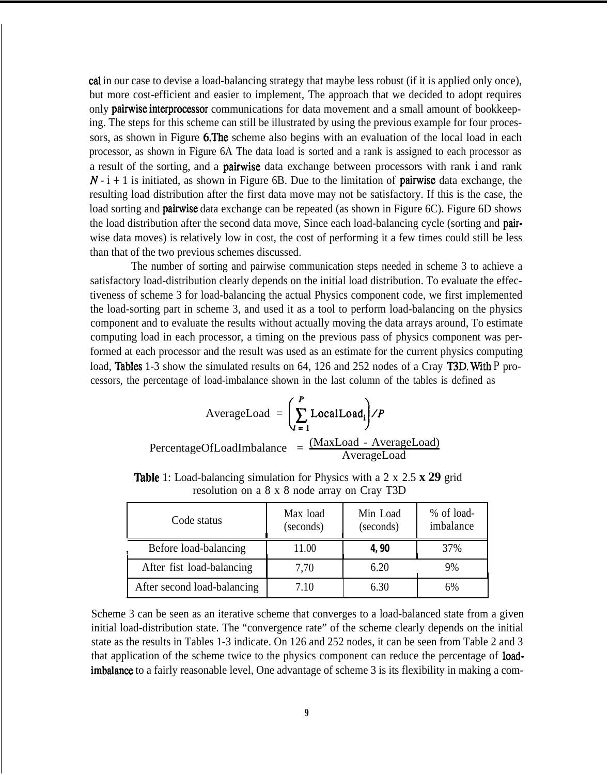cal in our case to devise a load-balancing strategy that maybe less robust (if it is applied only once), but more cost-efficient and easier to implement, The approach that we decided to adopt requires only pairwise interprocessor communications for data movement and a small amount of bookkeeping. The steps for this scheme can still be illustrated by using the previous example for four processors, as shown in Figure 6. The scheme also begins with an evaluation of the local load in each processor, as shown in Figure 6A The data load is sorted and a rank is assigned to each processor as a result of the sorting, and a pairwise data exchange between processors with rank *i* and rank  $N - i + 1$  is initiated, as shown in Figure 6B. Due to the limitation of **pairwise** data exchange, the resulting load distribution after the first data move may not be satisfactory. If this is the case, the load sorting and **pairwise** data exchange can be repeated (as shown in Figure 6C). Figure 6D shows the load distribution after the second data move, Since each load-balancing cycle (sorting and pairwise data moves) is relatively low in cost, the cost of performing it a few times could still be less than that of the two previous schemes discussed.

The number of sorting and pairwise communication steps needed in scheme 3 to achieve a satisfactory load-distribution clearly depends on the initial load distribution. To evaluate the effectiveness of scheme 3 for load-balancing the actual Physics component code, we first implemented the load-sorting part in scheme 3, and used it as a tool to perform load-balancing on the physics component and to evaluate the results without actually moving the data arrays around, To estimate computing load in each processor, a timing on the previous pass of physics component was performed at each processor and the result was used as an estimate for the current physics computing load, **Tables** 1-3 show the simulated results on 64, 126 and 252 nodes of a Cray **T3D.** With P processors, the percentage of load-imbalance shown in the last column of the tables is defined as

$$
\text{AverageLoad} = \left(\sum_{i=1}^{P} \text{LocalLoad}_i\right) / P
$$
\n
$$
\text{PercentageOfLoadImbalance} = \frac{(\text{MaxLoad} - \text{AverageLoad})}{\text{AverageLoad}}
$$

| Code status                 | Max load<br>(seconds) | Min Load<br>(seconds) | % of load-<br>imbalance |
|-----------------------------|-----------------------|-----------------------|-------------------------|
| Before load-balancing       | 11.00                 | 4,90                  | 37%                     |
| After fist load-balancing   | 7.70                  | 6.20                  | 9%                      |
| After second load-balancing | 7.10                  | 6.30                  | 6%                      |

**Table** 1: Load-balancing simulation for Physics with a 2 x 2.5 x 29 grid resolution on a 8 x 8 node array on Cray T3D

Scheme 3 can be seen as an iterative scheme that converges to a load-balanced state from a given initial load-distribution state. The "convergence rate" of the scheme clearly depends on the initial state as the results in Tables 1-3 indicate. On 126 and 252 nodes, it can be seen from Table 2 and 3 that application of the scheme twice to the physics component can reduce the percentage of loadimbalance to a fairly reasonable level, One advantage of scheme 3 is its flexibility in making a com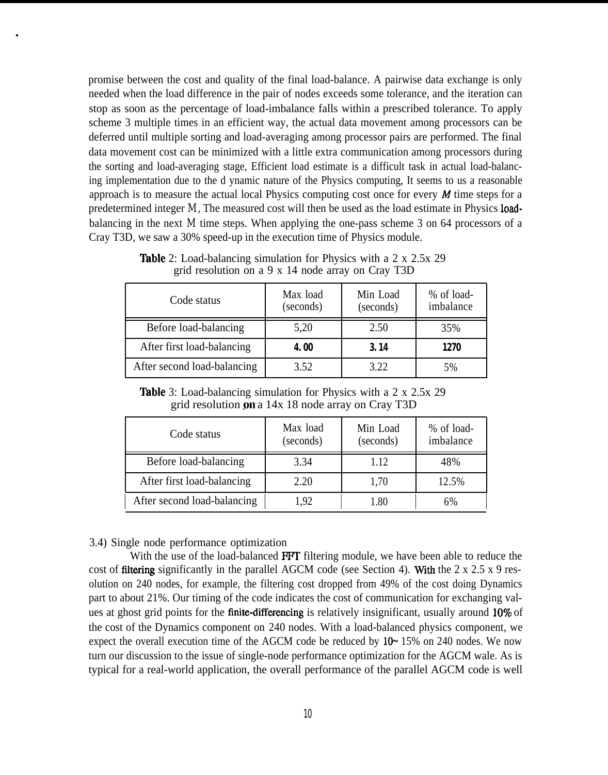promise between the cost and quality of the final load-balance. A pairwise data exchange is only needed when the load difference in the pair of nodes exceeds some tolerance, and the iteration can stop as soon as the percentage of load-imbalance falls within a prescribed tolerance. To apply scheme 3 multiple times in an efficient way, the actual data movement among processors can be deferred until multiple sorting and load-averaging among processor pairs are performed. The final data movement cost can be minimized with a little extra communication among processors during the sorting and load-averaging stage, Efficient load estimate is a difficult task in actual load-balancing implementation due to the d ynamic nature of the Physics computing, It seems to us a reasonable approach is to measure the actual local Physics computing cost once for every  $M$  time steps for a predetermined integer M, The measured cost will then be used as the load estimate in Physics loadbalancing in the next *M* time steps. When applying the one-pass scheme 3 on 64 processors of a Cray T3D, we saw a 30% speed-up in the execution time of Physics module.

| Code status                 | Max load<br>(seconds) | Min Load<br>(seconds) | % of load-<br>imbalance |
|-----------------------------|-----------------------|-----------------------|-------------------------|
| Before load-balancing       | 5,20                  | 2.50                  | 35%                     |
| After first load-balancing  | 4.00                  | 3.14                  | 1270                    |
| After second load-balancing | 3.52                  | 3.22                  | 5%                      |

**Table** 2: Load-balancing simulation for Physics with a 2 x 2.5x 29 grid resolution on a 9 x 14 node array on Cray T3D

**Table** 3: Load-balancing simulation for Physics with a 2 x 2.5x 29 grid resolution on a  $14x$  18 node array on Cray T3D

| Code status                 | Max load<br>(seconds) | Min Load<br>(seconds) | % of load-<br>imbalance |
|-----------------------------|-----------------------|-----------------------|-------------------------|
| Before load-balancing       | 3.34                  | 1.12                  | 48%                     |
| After first load-balancing  | 2.20                  | 1,70                  | 12.5%                   |
| After second load-balancing | 1.92                  | 1.80                  | 6%                      |

#### 3.4) Single node performance optimization

.

With the use of the load-balanced **FFT** filtering module, we have been able to reduce the cost of filtering significantly in the parallel AGCM code (see Section 4). With the  $2 \times 2.5 \times 9$  resolution on 240 nodes, for example, the filtering cost dropped from 49% of the cost doing Dynamics part to about 21%. Our timing of the code indicates the cost of communication for exchanging values at ghost grid points for the finite-differencing is relatively insignificant, usually around 10% of the cost of the Dynamics component on 240 nodes. With a load-balanced physics component, we expect the overall execution time of the AGCM code be reduced by  $10 \sim 15\%$  on 240 nodes. We now turn our discussion to the issue of single-node performance optimization for the AGCM wale. As is typical for a real-world application, the overall performance of the parallel AGCM code is well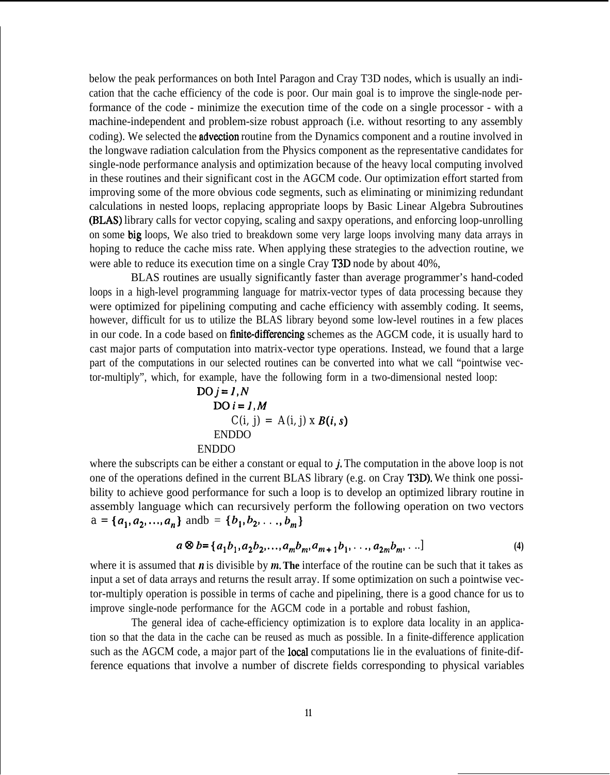below the peak performances on both Intel Paragon and Cray T3D nodes, which is usually an indication that the cache efficiency of the code is poor. Our main goal is to improve the single-node performance of the code - minimize the execution time of the code on a single processor - with a machine-independent and problem-size robust approach (i.e. without resorting to any assembly coding). We selected the **advection** routine from the Dynamics component and a routine involved in the longwave radiation calculation from the Physics component as the representative candidates for single-node performance analysis and optimization because of the heavy local computing involved in these routines and their significant cost in the AGCM code. Our optimization effort started from improving some of the more obvious code segments, such as eliminating or minimizing redundant calculations in nested loops, replacing appropriate loops by Basic Linear Algebra Subroutines (BLAS) library calls for vector copying, scaling and saxpy operations, and enforcing loop-unrolling on some big loops, We also tried to breakdown some very large loops involving many data arrays in hoping to reduce the cache miss rate. When applying these strategies to the advection routine, we were able to reduce its execution time on a single Cray T3D node by about 40%,

BLAS routines are usually significantly faster than average programmer's hand-coded loops in a high-level programming language for matrix-vector types of data processing because they were optimized for pipelining computing and cache efficiency with assembly coding. It seems, however, difficult for us to utilize the BLAS library beyond some low-level routines in a few places in our code. In a code based on finite-differencing schemes as the AGCM code, it is usually hard to cast major parts of computation into matrix-vector type operations. Instead, we found that a large part of the computations in our selected routines can be converted into what we call "pointwise vector-multiply", which, for example, have the following form in a two-dimensional nested loop: DO  $i = I$  N

$$
DO j = 1, N
$$
  
DO i = 1, M  
C(i, j) = A(i, j) x B(i, s)  
ENDDO  
ENDDO

where the subscripts can be either a constant or equal to j. The computation in the above loop is not one of the operations defined in the current BLAS library (e.g. on Cray T3D). We think one possibility to achieve good performance for such a loop is to develop an optimized library routine in assembly language which can recursively perform the following operation on two vectors  $a = \{a_1, a_2, ..., a_n\}$  andb =  $\{b_1, b_2, ..., b_m\}$ 

$$
a \otimes b = \{a_1b_1, a_2b_2, \dots, a_mb_m, a_{m+1}b_1, \dots, a_{2m}b_m, \dots\}
$$
(4)

where it is assumed that  $n$  is divisible by  $m$ . The interface of the routine can be such that it takes as input a set of data arrays and returns the result array. If some optimization on such a pointwise vector-multiply operation is possible in terms of cache and pipelining, there is a good chance for us to improve single-node performance for the AGCM code in a portable and robust fashion,

The general idea of cache-efficiency optimization is to explore data locality in an application so that the data in the cache can be reused as much as possible. In a finite-difference application such as the AGCM code, a major part of the local computations lie in the evaluations of finite-difference equations that involve a number of discrete fields corresponding to physical variables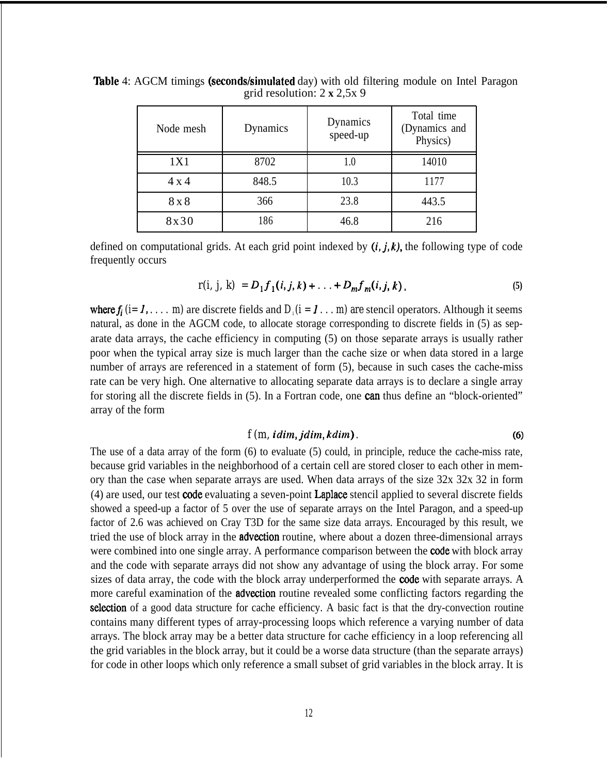| Node mesh    | Dynamics | Dynamics<br>speed-up | Total time<br>(Dynamics and<br>Physics) |
|--------------|----------|----------------------|-----------------------------------------|
| 1X1          | 8702     | 1.0                  | 14010                                   |
| $4 \times 4$ | 848.5    | 10.3                 | 1177                                    |
| 8x8          | 366      | 23.8                 | 443.5                                   |
| 8x30         | 186      | 46.8                 | 216                                     |

**Table** 4: AGCM timings (seconds/simulated day) with old filtering module on Intel Paragon grid resolution: 2 **x** 2,5x 9

defined on computational grids. At each grid point indexed by  $(i, j, k)$ , the following type of code frequently occurs

$$
r(i, j, k) = D_1 f_1(i, j, k) + \ldots + D_m f_m(i, j, k) \tag{5}
$$

where  $f_i$  (i= 1, ... *m*) are discrete fields and  $D_i$  (i = 1... *m*) are stencil operators. Although it seems natural, as done in the AGCM code, to allocate storage corresponding to discrete fields in (5) as separate data arrays, the cache efficiency in computing (5) on those separate arrays is usually rather poor when the typical array size is much larger than the cache size or when data stored in a large number of arrays are referenced in a statement of form  $(5)$ , because in such cases the cache-miss rate can be very high. One alternative to allocating separate data arrays is to declare a single array for storing all the discrete fields in (5). In a Fortran code, one ean thus define an "block-oriented" array of the form

$$
f(m, idim, jdim, kdim).
$$
 (6)

The use of a data array of the form (6) to evaluate (5) could, in principle, reduce the cache-miss rate, because grid variables in the neighborhood of a certain cell are stored closer to each other in memory than the case when separate arrays are used. When data arrays of the size 32x 32x 32 in form (4) are used, our test code evaluating a seven-point Laplace stencil applied to several discrete fields showed a speed-up a factor of 5 over the use of separate arrays on the Intel Paragon, and a speed-up factor of 2.6 was achieved on Cray T3D for the same size data arrays. Encouraged by this result, we tried the use of block array in the advection routine, where about a dozen three-dimensional arrays were combined into one single array. A performance comparison between the **code** with block array and the code with separate arrays did not show any advantage of using the block array. For some sizes of data array, the code with the block array underperformed the code with separate arrays. A more careful examination of the advection routine revealed some conflicting factors regarding the selection of a good data structure for cache efficiency. A basic fact is that the dry-convection routine contains many different types of array-processing loops which reference a varying number of data arrays. The block array may be a better data structure for cache efficiency in a loop referencing all the grid variables in the block array, but it could be a worse data structure (than the separate arrays) for code in other loops which only reference a small subset of grid variables in the block array. It is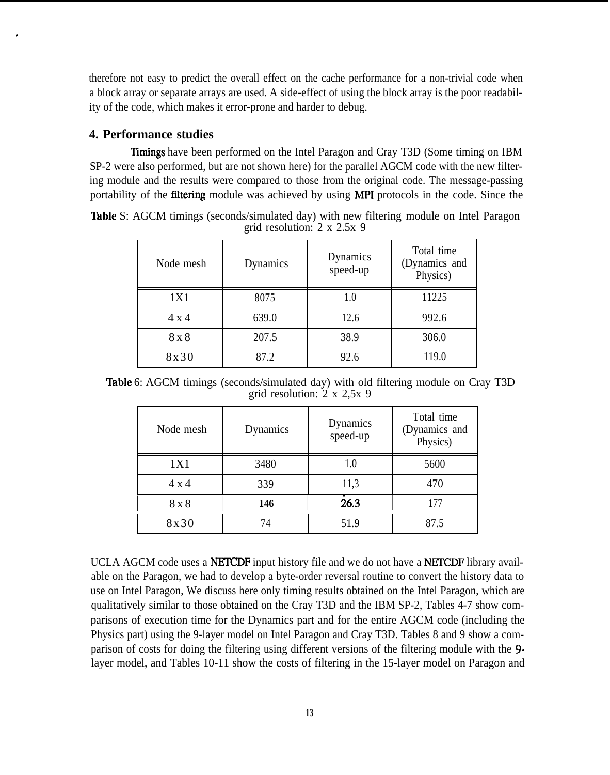therefore not easy to predict the overall effect on the cache performance for a non-trivial code when a block array or separate arrays are used. A side-effect of using the block array is the poor readability of the code, which makes it error-prone and harder to debug.

### **4. Performance studies**

.

Timings have been performed on the Intel Paragon and Cray T3D (Some timing on IBM SP-2 were also performed, but are not shown here) for the parallel AGCM code with the new filtering module and the results were compared to those from the original code. The message-passing portability of the filtering module was achieved by using MPI protocols in the code. Since the

Table S: AGCM timings (seconds/simulated day) with new filtering module on Intel Paragon grid resolution: 2 x 2.5x 9

| Node mesh    | Dynamics | Dynamics<br>speed-up | Total time<br>(Dynamics and<br>Physics) |
|--------------|----------|----------------------|-----------------------------------------|
| 1X1          | 8075     | 1.0                  | 11225                                   |
| $4 \times 4$ | 639.0    | 12.6                 | 992.6                                   |
| 8x8          | 207.5    | 38.9                 | 306.0                                   |
| 8x30         | 87.2     | 92.6                 | 119.0                                   |

**Table** 6: AGCM timings (seconds/simulated day) with old filtering module on Cray T3D grid resolution: 2 x 2,5x 9

| Node mesh    | Dynamics | Dynamics<br>speed-up | Total time<br>(Dynamics and<br>Physics) |
|--------------|----------|----------------------|-----------------------------------------|
| 1X1          | 3480     | 1.0                  | 5600                                    |
| $4 \times 4$ | 339      | 11,3                 | 470                                     |
| 8 x 8        | 146      | 26.3                 | 177                                     |
| 8x30         | 74       | 51.9                 | 87.5                                    |

UCLA AGCM code uses a NETCDF input history file and we do not have a NETCDF library available on the Paragon, we had to develop a byte-order reversal routine to convert the history data to use on Intel Paragon, We discuss here only timing results obtained on the Intel Paragon, which are qualitatively similar to those obtained on the Cray T3D and the IBM SP-2, Tables 4-7 show comparisons of execution time for the Dynamics part and for the entire AGCM code (including the Physics part) using the 9-layer model on Intel Paragon and Cray T3D. Tables 8 and 9 show a comparison of costs for doing the filtering using different versions of the filtering module with the 9 layer model, and Tables 10-11 show the costs of filtering in the 15-layer model on Paragon and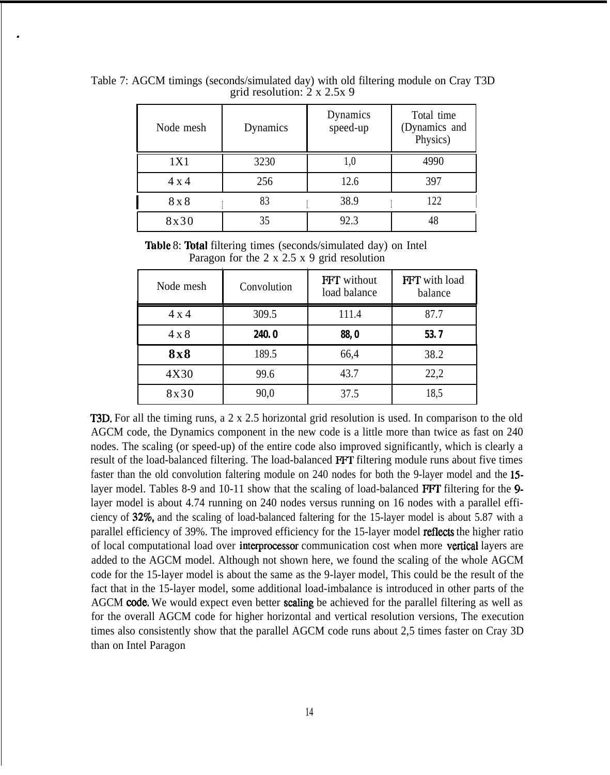| Node mesh    | Dynamics | Dynamics<br>speed-up | Total time<br>(Dynamics and<br>Physics) |
|--------------|----------|----------------------|-----------------------------------------|
| 1X1          | 3230     | 1,0                  | 4990                                    |
| $4 \times 4$ | 256      | 12.6                 | 397                                     |
| 8 x 8        | 83       | 38.9                 | 122                                     |
| 8x30         | 35       | 92.3                 | 48                                      |

Table 7: AGCM timings (seconds/simulated day) with old filtering module on Cray T3D grid resolution: 2 x 2.5x 9

.

Table 8: Total filtering times (seconds/simulated day) on Intel Paragon for the 2 x 2.5 x 9 grid resolution

| Node mesh    | Convolution | <b>FFT</b> without<br>load balance | FFT with load<br>balance |
|--------------|-------------|------------------------------------|--------------------------|
| $4 \times 4$ | 309.5       | 111.4                              | 87.7                     |
| $4 \times 8$ | 240.0       | 88,0                               | 53.7                     |
| 8x8          | 189.5       | 66,4                               | 38.2                     |
| 4X30         | 99.6        | 43.7                               | 22,2                     |
| 8x30         | 90,0        | 37.5                               | 18,5                     |

T3D, For all the timing runs, a 2 x 2.5 horizontal grid resolution is used. In comparison to the old AGCM code, the Dynamics component in the new code is a little more than twice as fast on 240 nodes. The scaling (or speed-up) of the entire code also improved significantly, which is clearly a result of the load-balanced filtering. The load-balanced FFT filtering module runs about five times faster than the old convolution faltering module on 240 nodes for both the 9-layer model and the 15 layer model. Tables 8-9 and 10-11 show that the scaling of load-balanced FFT filtering for the 9layer model is about 4.74 running on 240 nodes versus running on 16 nodes with a parallel efficiency of 32%, and the scaling of load-balanced faltering for the 15-layer model is about 5.87 with a parallel efficiency of 39%. The improved efficiency for the 15-layer model refleets the higher ratio of local computational load over interprocessor communication cost when more vertieal layers are added to the AGCM model. Although not shown here, we found the scaling of the whole AGCM code for the 15-layer model is about the same as the 9-layer model, This could be the result of the fact that in the 15-layer model, some additional load-imbalance is introduced in other parts of the AGCM code. We would expect even better scaling be achieved for the parallel filtering as well as for the overall AGCM code for higher horizontal and vertical resolution versions, The execution times also consistently show that the parallel AGCM code runs about 2,5 times faster on Cray 3D than on Intel Paragon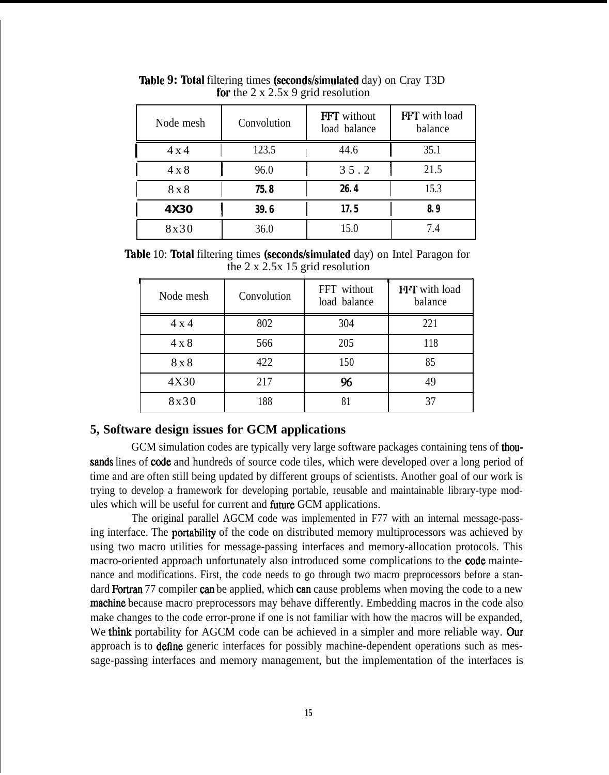| Node mesh | Convolution | <b>FFT</b> without<br>load balance | <b>FFT</b> with load<br>balance |
|-----------|-------------|------------------------------------|---------------------------------|
| 4x4       | 123.5       | 44.6                               | 35.1                            |
| 4x8       | 96.0        | 35.2                               | 21.5                            |
| 8x8       | 75.8        | 26.4                               | 15.3                            |
| 4X30      | 39.6        | 17.5                               | 8.9                             |
| 8x30      | 36.0        | 15.0                               | 7.4                             |

**Table 9: Total filtering times (seconds/simulated day) on Cray T3D** for the 2 x 2.5x 9 grid resolution

**Table 10: Total filtering times (seconds/simulated day) on Intel Paragon for** the 2 x 2.5x 15 grid resolution

| Node mesh    | Convolution | FFT without<br>load balance | FFT with load<br>balance |
|--------------|-------------|-----------------------------|--------------------------|
| 4x4          | 802         | 304                         | 221                      |
| $4 \times 8$ | 566         | 205                         | 118                      |
| 8 x 8        | 422         | 150                         | 85                       |
| 4X30         | 217         | 96                          | 49                       |
| 8x30         | 188         | 81                          | 37                       |

## **5, Software design issues for GCM applications**

GCM simulation codes are typically very large software packages containing tens of thousands lines of code and hundreds of source code tiles, which were developed over a long period of time and are often still being updated by different groups of scientists. Another goal of our work is trying to develop a framework for developing portable, reusable and maintainable library-type modules which will be useful for current and **future** GCM applications.

The original parallel AGCM code was implemented in F77 with an internal message-passing interface. The **portability** of the code on distributed memory multiprocessors was achieved by using two macro utilities for message-passing interfaces and memory-allocation protocols. This macro-oriented approach unfortunately also introduced some complications to the code maintenance and modifications. First, the code needs to go through two macro preprocessors before a standard **Fortran** 77 compiler **can** be applied, which **can** cause problems when moving the code to a new machine because macro preprocessors may behave differently. Embedding macros in the code also make changes to the code error-prone if one is not familiar with how the macros will be expanded, We think portability for AGCM code can be achieved in a simpler and more reliable way. Our approach is to **define** generic interfaces for possibly machine-dependent operations such as message-passing interfaces and memory management, but the implementation of the interfaces is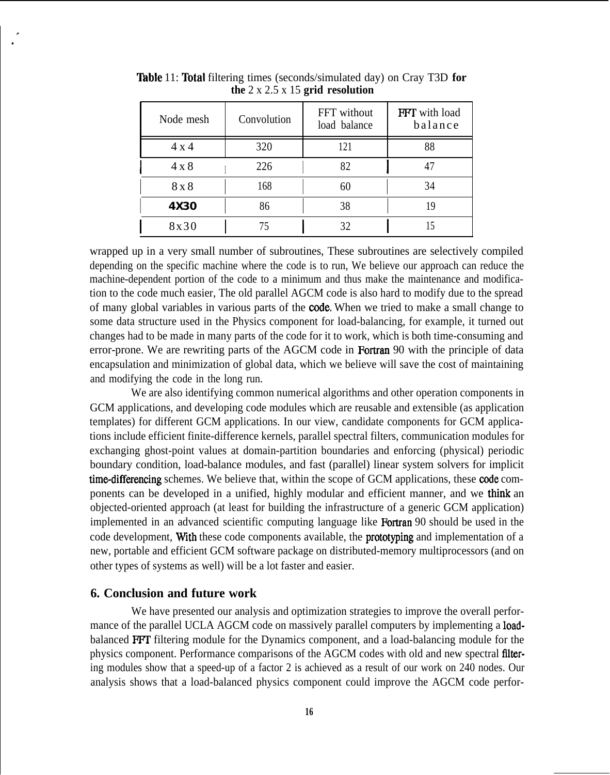| Node mesh    | Convolution | FFT without<br>load balance | <b>FFT</b> with load<br>balance |
|--------------|-------------|-----------------------------|---------------------------------|
| $4 \times 4$ | 320         | 121                         | 88                              |
| $4 \times 8$ | 226         | 82                          |                                 |
| 8x8          | 168         | 60                          | 34                              |
| 4X30         | 86          | 38                          |                                 |
| 8x30         | 75          | 32                          |                                 |

**Table 11: Total filtering times (seconds/simulated day) on Cray T3D for the** 2 x 2.5 x 15 **grid resolution**

wrapped up in a very small number of subroutines, These subroutines are selectively compiled depending on the specific machine where the code is to run, We believe our approach can reduce the machine-dependent portion of the code to a minimum and thus make the maintenance and modification to the code much easier, The old parallel AGCM code is also hard to modify due to the spread of many global variables in various parts of the code, When we tried to make a small change to some data structure used in the Physics component for load-balancing, for example, it turned out changes had to be made in many parts of the code for it to work, which is both time-consuming and error-prone. We are rewriting parts of the AGCM code in Fortran 90 with the principle of data encapsulation and minimization of global data, which we believe will save the cost of maintaining and modifying the code in the long run.

We are also identifying common numerical algorithms and other operation components in GCM applications, and developing code modules which are reusable and extensible (as application templates) for different GCM applications. In our view, candidate components for GCM applications include efficient finite-difference kernels, parallel spectral filters, communication modules for exchanging ghost-point values at domain-partition boundaries and enforcing (physical) periodic boundary condition, load-balance modules, and fast (parallel) linear system solvers for implicit time-differencing schemes. We believe that, within the scope of GCM applications, these code components can be developed in a unified, highly modular and efficient manner, and we thhk an objected-oriented approach (at least for building the infrastructure of a generic GCM application) implemented in an advanced scientific computing language like Fortran 90 should be used in the code development, With these code components available, the prototyping and implementation of a new, portable and efficient GCM software package on distributed-memory multiprocessors (and on other types of systems as well) will be a lot faster and easier.

### **6. Conclusion and future work**

We have presented our analysis and optimization strategies to improve the overall performance of the parallel UCLA AGCM code on massively parallel computers by implementing a loadbalanced FFT filtering module for the Dynamics component, and a load-balancing module for the physics component. Performance comparisons of the AGCM codes with old and new spectral filtering modules show that a speed-up of a factor 2 is achieved as a result of our work on 240 nodes. Our analysis shows that a load-balanced physics component could improve the AGCM code perfor